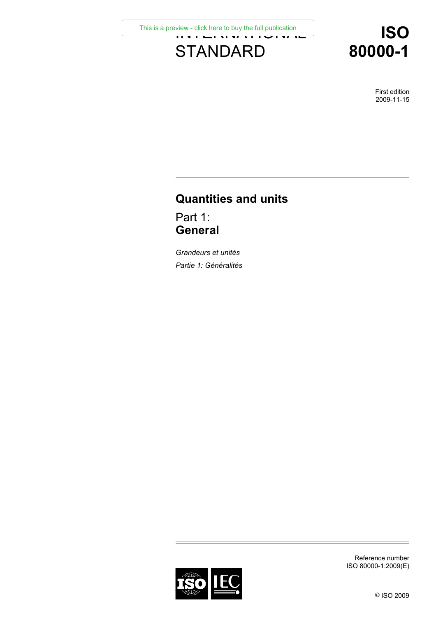[This is a preview - click here to buy the full publication](https://webstore.iec.ch/publication/9278&preview=1)<br>  $\begin{array}{ccc}\n\bullet & \bullet & \bullet & \bullet & \bullet & \bullet & \bullet & \bullet & \bullet & \bullet\end{array}$ 

# **STANDARD**

## **ISO 80000-1**

First edition 2009-11-15

## **[Quantities and units](#page-7-0)**

Part 1: **General** 

*[Grandeurs et unités](#page-7-0)  Partie 1: Généralités* 



Reference number ISO 80000-1:2009(E)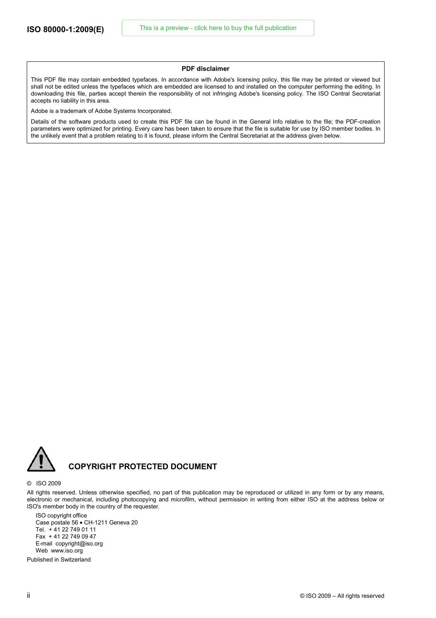#### **PDF disclaimer**

This PDF file may contain embedded typefaces. In accordance with Adobe's licensing policy, this file may be printed or viewed but shall not be edited unless the typefaces which are embedded are licensed to and installed on the computer performing the editing. In downloading this file, parties accept therein the responsibility of not infringing Adobe's licensing policy. The ISO Central Secretariat accepts no liability in this area.

Adobe is a trademark of Adobe Systems Incorporated.

Details of the software products used to create this PDF file can be found in the General Info relative to the file; the PDF-creation parameters were optimized for printing. Every care has been taken to ensure that the file is suitable for use by ISO member bodies. In the unlikely event that a problem relating to it is found, please inform the Central Secretariat at the address given below.



## **COPYRIGHT PROTECTED DOCUMENT**

#### © ISO 2009

All rights reserved. Unless otherwise specified, no part of this publication may be reproduced or utilized in any form or by any means, electronic or mechanical, including photocopying and microfilm, without permission in writing from either ISO at the address below or ISO's member body in the country of the requester.

ISO copyright office Case postale 56 • CH-1211 Geneva 20 Tel. + 41 22 749 01 11 Fax + 41 22 749 09 47 E-mail copyright@iso.org Web www.iso.org

Published in Switzerland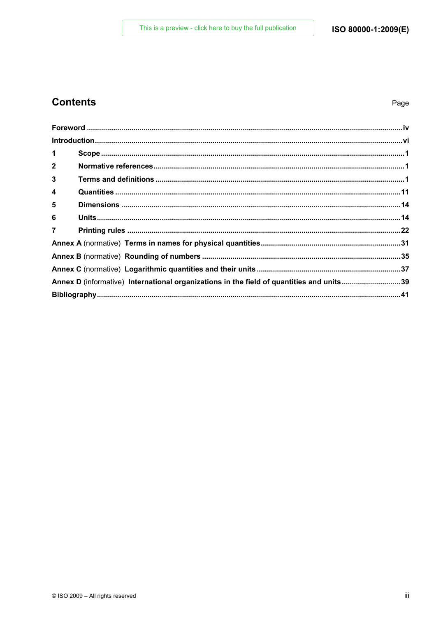## **Contents**

Page

| $\mathbf 1$    |                                                                                          |  |
|----------------|------------------------------------------------------------------------------------------|--|
| $\overline{2}$ |                                                                                          |  |
| 3              |                                                                                          |  |
| 4              |                                                                                          |  |
| 5              |                                                                                          |  |
| 6              |                                                                                          |  |
| $\overline{7}$ |                                                                                          |  |
|                |                                                                                          |  |
|                |                                                                                          |  |
|                |                                                                                          |  |
|                | Annex D (informative) International organizations in the field of quantities and units39 |  |
|                |                                                                                          |  |
|                |                                                                                          |  |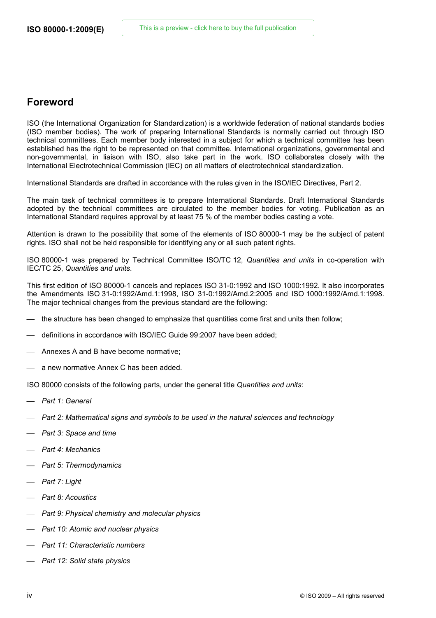## <span id="page-3-0"></span>**Foreword**

ISO (the International Organization for Standardization) is a worldwide federation of national standards bodies (ISO member bodies). The work of preparing International Standards is normally carried out through ISO technical committees. Each member body interested in a subject for which a technical committee has been established has the right to be represented on that committee. International organizations, governmental and non-governmental, in liaison with ISO, also take part in the work. ISO collaborates closely with the International Electrotechnical Commission (IEC) on all matters of electrotechnical standardization.

International Standards are drafted in accordance with the rules given in the ISO/IEC Directives, Part 2.

The main task of technical committees is to prepare International Standards. Draft International Standards adopted by the technical committees are circulated to the member bodies for voting. Publication as an International Standard requires approval by at least 75 % of the member bodies casting a vote.

Attention is drawn to the possibility that some of the elements of ISO 80000-1 may be the subject of patent rights. ISO shall not be held responsible for identifying any or all such patent rights.

ISO 80000-1 was prepared by Technical Committee ISO/TC 12, *Quantities and units* in co-operation with IEC/TC 25, *Quantities and units*.

This first edition of ISO 80000-1 cancels and replaces ISO 31-0:1992 and ISO 1000:1992. It also incorporates the Amendments ISO 31-0:1992/Amd.1:1998, ISO 31-0:1992/Amd.2:2005 and ISO 1000:1992/Amd.1:1998. The major technical changes from the previous standard are the following:

- the structure has been changed to emphasize that quantities come first and units then follow;
- definitions in accordance with ISO/IEC Guide 99:2007 have been added;
- Annexes A and B have become normative;
- a new normative Annex C has been added.

ISO 80000 consists of the following parts, under the general title *Quantities and units*:

- Part 1: General
- Part 2: Mathematical signs and symbols to be used in the natural sciences and technology
- ⎯ *Part 3: Space and time*
- ⎯ *Part 4: Mechanics*
- ⎯ *Part 5: Thermodynamics*
- Part 7: Light
- ⎯ *Part 8: Acoustics*
- ⎯ *Part 9: Physical chemistry and molecular physics*
- ⎯ *Part 10: Atomic and nuclear physics*
- ⎯ *Part 11: Characteristic numbers*
- ⎯ *Part 12: Solid state physics*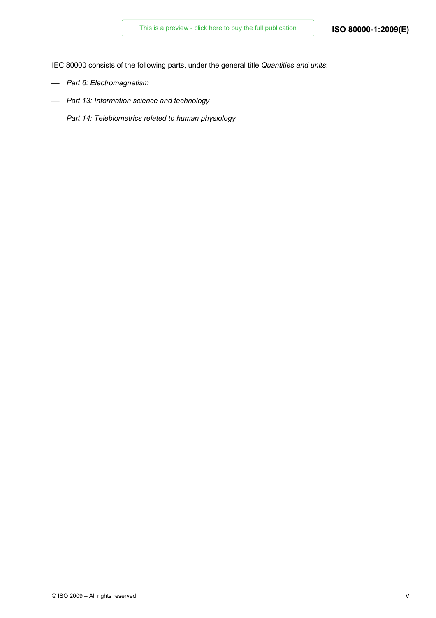- IEC 80000 consists of the following parts, under the general title *Quantities and units*:
- ⎯ *Part 6: Electromagnetism*
- ⎯ *Part 13: Information science and technology*
- ⎯ *Part 14: Telebiometrics related to human physiology*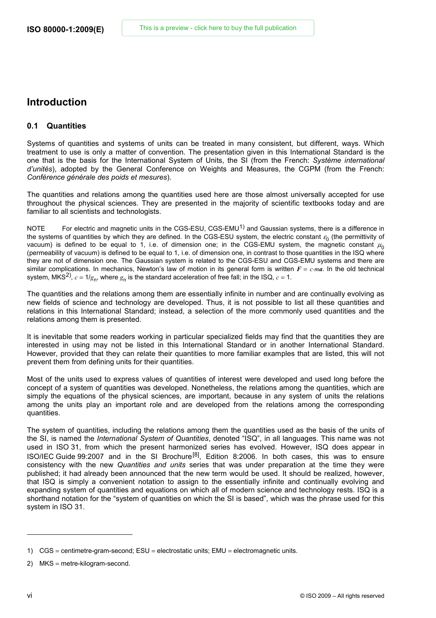## <span id="page-5-0"></span>**Introduction**

### **0.1 Quantities**

Systems of quantities and systems of units can be treated in many consistent, but different, ways. Which treatment to use is only a matter of convention. The presentation given in this International Standard is the one that is the basis for the International System of Units, the SI (from the French: *Système international d'unités*), adopted by the General Conference on Weights and Measures, the CGPM (from the French: *Conférence générale des poids et mesures*).

The quantities and relations among the quantities used here are those almost universally accepted for use throughout the physical sciences. They are presented in the majority of scientific textbooks today and are familiar to all scientists and technologists.

NOTE For electric and magnetic units in the CGS-ESU, CGS-EMU<sup>[1\)](#page-5-1)</sup> and Gaussian systems, there is a difference in the systems of quantities by which they are defined. In the CGS-ESU system, the electric constant  $\varepsilon_0$  (the permittivity of vacuum) is defined to be equal to 1, i.e. of dimension one; in the CGS-EMU system, the magnetic constant  $\mu_0$ (permeability of vacuum) is defined to be equal to 1, i.e. of dimension one, in contrast to those quantities in the ISQ where they are not of dimension one. The Gaussian system is related to the CGS-ESU and CGS-EMU systems and there are similar complications. In mechanics, Newton's law of motion in its general form is written *F* = *c*⋅*ma*. In the old technical system, MKS<sup>[2\)](#page-5-2)</sup>,  $c = 1/g_n$ , where  $g_n$  is the standard acceleration of free fall; in the ISQ,  $c = 1$ .

The quantities and the relations among them are essentially infinite in number and are continually evolving as new fields of science and technology are developed. Thus, it is not possible to list all these quantities and relations in this International Standard; instead, a selection of the more commonly used quantities and the relations among them is presented.

It is inevitable that some readers working in particular specialized fields may find that the quantities they are interested in using may not be listed in this International Standard or in another International Standard. However, provided that they can relate their quantities to more familiar examples that are listed, this will not prevent them from defining units for their quantities.

Most of the units used to express values of quantities of interest were developed and used long before the concept of a system of quantities was developed. Nonetheless, the relations among the quantities, which are simply the equations of the physical sciences, are important, because in any system of units the relations among the units play an important role and are developed from the relations among the corresponding quantities.

The system of quantities, including the relations among them the quantities used as the basis of the units of the SI, is named the *International System of Quantities*, denoted "ISQ", in all languages. This name was not used in ISO 31, from which the present harmonized series has evolved. However, ISQ does appear in ISO/IEC Guide 99:2007 and in the SI Brochure<sup>[8]</sup>, Edition 8:2006. In both cases, this was to ensure consistency with the new *Quantities and units* series that was under preparation at the time they were published; it had already been announced that the new term would be used. It should be realized, however, that ISQ is simply a convenient notation to assign to the essentially infinite and continually evolving and expanding system of quantities and equations on which all of modern science and technology rests. ISQ is a shorthand notation for the "system of quantities on which the SI is based", which was the phrase used for this system in ISO 31.

l

<span id="page-5-1"></span><sup>1)</sup> CGS = centimetre-gram-second; ESU = electrostatic units; EMU = electromagnetic units.

<span id="page-5-2"></span><sup>2)</sup> MKS = metre-kilogram-second.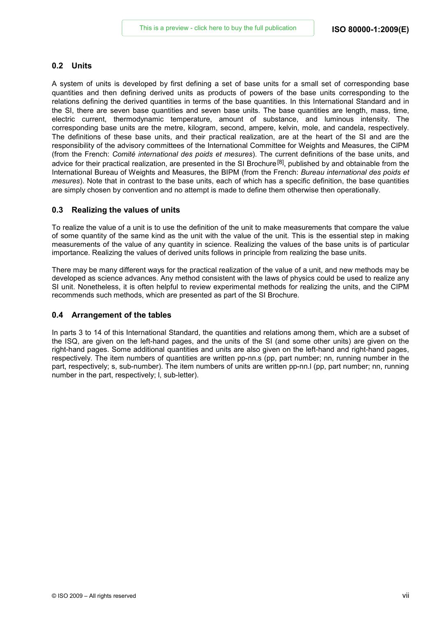## **0.2 Units**

A system of units is developed by first defining a set of base units for a small set of corresponding base quantities and then defining derived units as products of powers of the base units corresponding to the relations defining the derived quantities in terms of the base quantities. In this International Standard and in the SI, there are seven base quantities and seven base units. The base quantities are length, mass, time, electric current, thermodynamic temperature, amount of substance, and luminous intensity. The corresponding base units are the metre, kilogram, second, ampere, kelvin, mole, and candela, respectively. The definitions of these base units, and their practical realization, are at the heart of the SI and are the responsibility of the advisory committees of the International Committee for Weights and Measures, the CIPM (from the French: *Comité international des poids et mesures*). The current definitions of the base units, and advice for their practical realization, are presented in the SI Brochure<sup>[8]</sup>, published by and obtainable from the International Bureau of Weights and Measures, the BIPM (from the French: *Bureau international des poids et mesures*). Note that in contrast to the base units, each of which has a specific definition, the base quantities are simply chosen by convention and no attempt is made to define them otherwise then operationally.

#### **0.3 Realizing the values of units**

To realize the value of a unit is to use the definition of the unit to make measurements that compare the value of some quantity of the same kind as the unit with the value of the unit. This is the essential step in making measurements of the value of any quantity in science. Realizing the values of the base units is of particular importance. Realizing the values of derived units follows in principle from realizing the base units.

There may be many different ways for the practical realization of the value of a unit, and new methods may be developed as science advances. Any method consistent with the laws of physics could be used to realize any SI unit. Nonetheless, it is often helpful to review experimental methods for realizing the units, and the CIPM recommends such methods, which are presented as part of the SI Brochure.

#### **0.4 Arrangement of the tables**

In parts 3 to 14 of this International Standard, the quantities and relations among them, which are a subset of the ISQ, are given on the left-hand pages, and the units of the SI (and some other units) are given on the right-hand pages. Some additional quantities and units are also given on the left-hand and right-hand pages, respectively. The item numbers of quantities are written pp-nn.s (pp, part number; nn, running number in the part, respectively; s, sub-number). The item numbers of units are written pp-nn.l (pp, part number; nn, running number in the part, respectively; l, sub-letter).